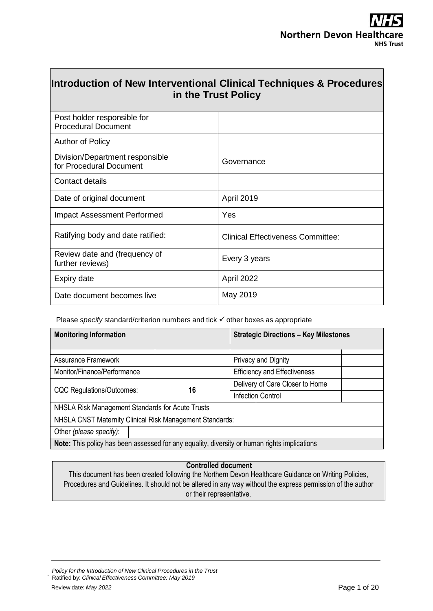| Introduction of New Interventional Clinical Techniques & Procedures<br>in the Trust Policy |                                          |  |  |  |
|--------------------------------------------------------------------------------------------|------------------------------------------|--|--|--|
| Post holder responsible for<br><b>Procedural Document</b>                                  |                                          |  |  |  |
| <b>Author of Policy</b>                                                                    |                                          |  |  |  |
| Division/Department responsible<br>for Procedural Document                                 | Governance                               |  |  |  |
| Contact details                                                                            |                                          |  |  |  |
| Date of original document                                                                  | April 2019                               |  |  |  |
| <b>Impact Assessment Performed</b>                                                         | Yes                                      |  |  |  |
| Ratifying body and date ratified:                                                          | <b>Clinical Effectiveness Committee:</b> |  |  |  |
| Review date and (frequency of<br>further reviews)                                          | Every 3 years                            |  |  |  |
| Expiry date                                                                                | April 2022                               |  |  |  |
| Date document becomes live                                                                 | May 2019                                 |  |  |  |

Please *specify* standard/criterion numbers and tick  $\checkmark$  other boxes as appropriate

| <b>Monitoring Information</b>                                                                |    | <b>Strategic Directions - Key Milestones</b> |                          |
|----------------------------------------------------------------------------------------------|----|----------------------------------------------|--------------------------|
|                                                                                              |    |                                              |                          |
| Assurance Framework                                                                          |    |                                              | Privacy and Dignity      |
| Monitor/Finance/Performance                                                                  |    | <b>Efficiency and Effectiveness</b>          |                          |
|                                                                                              | 16 | Delivery of Care Closer to Home              |                          |
| <b>CQC Regulations/Outcomes:</b>                                                             |    |                                              | <b>Infection Control</b> |
| NHSLA Risk Management Standards for Acute Trusts                                             |    |                                              |                          |
| NHSLA CNST Maternity Clinical Risk Management Standards:                                     |    |                                              |                          |
| Other (please specify):                                                                      |    |                                              |                          |
| Note: This policy has been assessed for any equality, diversity or human rights implications |    |                                              |                          |

### **Controlled document**

This document has been created following the Northern Devon Healthcare Guidance on Writing Policies, Procedures and Guidelines. It should not be altered in any way without the express permission of the author or their representative.

.

*Policy for the Introduction of New Clinical Procedures in the Trust* Ratified by: *Clinical Effectiveness Committee: May 2019*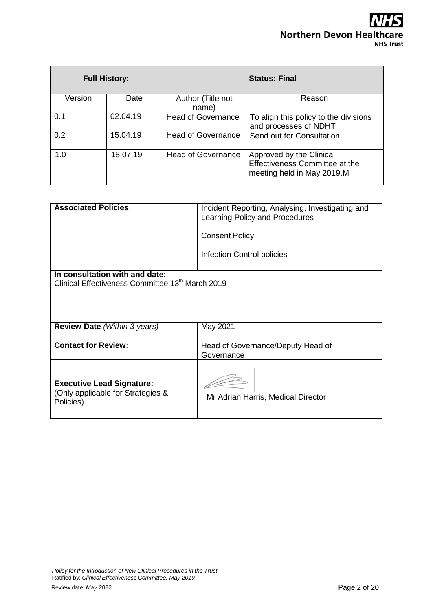## HS **Northern Devon Healthcare NHS Trust**

|         | <b>Full History:</b> | <b>Status: Final</b>      |                                                                                          |  |
|---------|----------------------|---------------------------|------------------------------------------------------------------------------------------|--|
| Version | Date                 | Author (Title not         | Reason                                                                                   |  |
|         |                      | name)                     |                                                                                          |  |
| 0.1     | 02.04.19             | <b>Head of Governance</b> | To align this policy to the divisions<br>and processes of NDHT                           |  |
| 0.2     | 15.04.19             | <b>Head of Governance</b> | Send out for Consultation                                                                |  |
| 1.0     | 18.07.19             | <b>Head of Governance</b> | Approved by the Clinical<br>Effectiveness Committee at the<br>meeting held in May 2019.M |  |

| <b>Associated Policies</b>                                                         | Incident Reporting, Analysing, Investigating and<br>Learning Policy and Procedures |
|------------------------------------------------------------------------------------|------------------------------------------------------------------------------------|
|                                                                                    | <b>Consent Policy</b>                                                              |
|                                                                                    | Infection Control policies                                                         |
| In consultation with and date:<br>Clinical Effectiveness Committee 13th March 2019 |                                                                                    |
|                                                                                    |                                                                                    |
|                                                                                    |                                                                                    |
| <b>Review Date</b> (Within 3 years)                                                | May 2021                                                                           |
| <b>Contact for Review:</b>                                                         | Head of Governance/Deputy Head of                                                  |
|                                                                                    | Governance                                                                         |
| <b>Executive Lead Signature:</b><br>(Only applicable for Strategies &<br>Policies) | Mr Adrian Harris, Medical Director                                                 |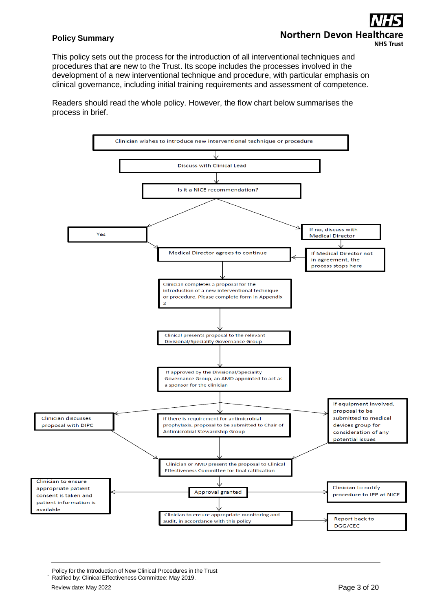## **Policy Summary**

# **Northern Devon Heal NHS Trust**

This policy sets out the process for the introduction of all interventional techniques and procedures that are new to the Trust. Its scope includes the processes involved in the development of a new interventional technique and procedure, with particular emphasis on clinical governance, including initial training requirements and assessment of competence.

Readers should read the whole policy. However, the flow chart below summarises the process in brief.



Policy for the Introduction of New Clinical Procedures in the Trust

Ratified by: Clinical Effectiveness Committee: May 2019. .

Review date: May 2022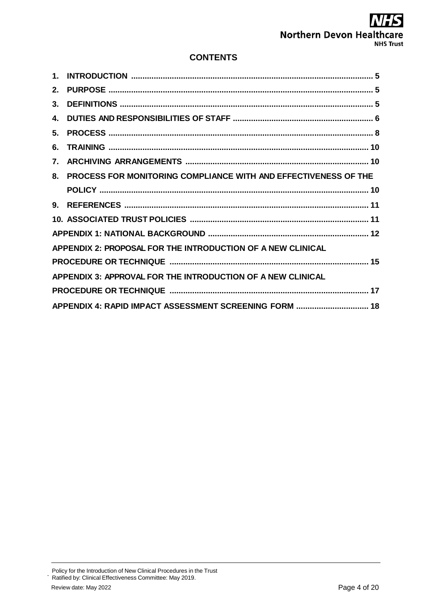## 5 **Northern Devon Healthcare NHS Trust**

## **CONTENTS**

| 2. |                                                                 |
|----|-----------------------------------------------------------------|
| 3. |                                                                 |
| 4. |                                                                 |
| 5. |                                                                 |
| 6. |                                                                 |
| 7. |                                                                 |
| 8. | PROCESS FOR MONITORING COMPLIANCE WITH AND EFFECTIVENESS OF THE |
|    |                                                                 |
|    |                                                                 |
|    |                                                                 |
|    |                                                                 |
|    | APPENDIX 2: PROPOSAL FOR THE INTRODUCTION OF A NEW CLINICAL     |
|    |                                                                 |
|    | APPENDIX 3: APPROVAL FOR THE INTRODUCTION OF A NEW CLINICAL     |
|    |                                                                 |
|    | APPENDIX 4: RAPID IMPACT ASSESSMENT SCREENING FORM  18          |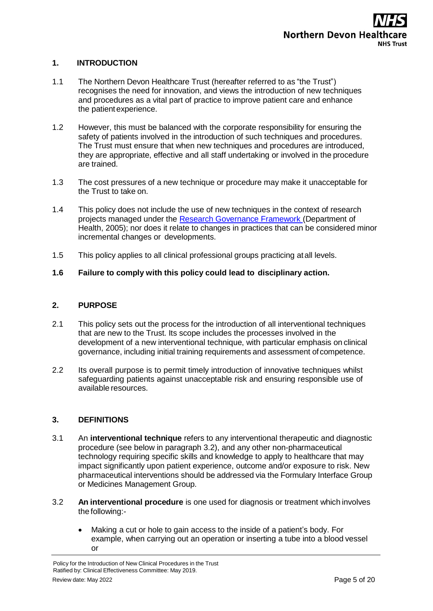## <span id="page-4-0"></span>**1. INTRODUCTION**

- 1.1 The Northern Devon Healthcare Trust (hereafter referred to as "the Trust") recognises the need for innovation, and views the introduction of new techniques and procedures as a vital part of practice to improve patient care and enhance the patient experience.
- 1.2 However, this must be balanced with the corporate responsibility for ensuring the safety of patients involved in the introduction of such techniques and procedures. The Trust must ensure that when new techniques and procedures are introduced, they are appropriate, effective and all staff undertaking or involved in the procedure are trained.
- 1.3 The cost pressures of a new technique or procedure may make it unacceptable for the Trust to take on.
- 1.4 This policy does not include the use of new techniques in the context of research projects managed under the Research [Governance Framework](https://www.gov.uk/government/uploads/system/uploads/attachment_data/file/139565/dh_4122427.pdf) (Department of Health, 2005); nor does it relate to changes in practices that can be considered minor incremental changes or developments.
- 1.5 This policy applies to all clinical professional groups practicing atall levels.

### **1.6 Failure to comply with this policy could lead to disciplinary action.**

### <span id="page-4-1"></span>**2. PURPOSE**

- 2.1 This policy sets out the process for the introduction of all interventional techniques that are new to the Trust. Its scope includes the processes involved in the development of a new interventional technique, with particular emphasis on clinical governance, including initial training requirements and assessment of competence.
- 2.2 Its overall purpose is to permit timely introduction of innovative techniques whilst safeguarding patients against unacceptable risk and ensuring responsible use of available resources.

### <span id="page-4-2"></span>**3. DEFINITIONS**

- 3.1 An **interventional technique** refers to any interventional therapeutic and diagnostic procedure (see below in paragraph 3.2), and any other non-pharmaceutical technology requiring specific skills and knowledge to apply to healthcare that may impact significantly upon patient experience, outcome and/or exposure to risk. New pharmaceutical interventions should be addressed via the Formulary Interface Group or Medicines Management Group.
- 3.2 **An interventional procedure** is one used for diagnosis or treatment which involves the following:-
	- Making a cut or hole to gain access to the inside of a patient's body. For example, when carrying out an operation or inserting a tube into a blood vessel or

Policy for the Introduction of New Clinical Procedures in the Trust Ratified by: Clinical Effectiveness Committee: May 2019. Review date: May 2022 **Page 5 of 20**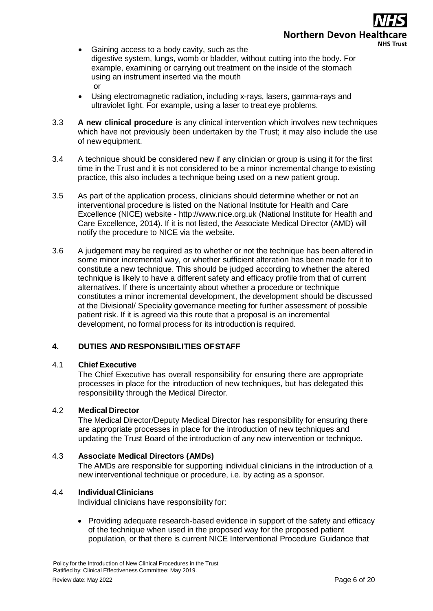- Gaining access to a body cavity, such as the digestive system, lungs, womb or bladder, without cutting into the body. For example, examining or carrying out treatment on the inside of the stomach using an instrument inserted via the mouth or
- Using electromagnetic radiation, including x-rays, lasers, gamma-rays and ultraviolet light. For example, using a laser to treat eye problems.
- 3.3 **A new clinical procedure** is any clinical intervention which involves new techniques which have not previously been undertaken by the Trust; it may also include the use of new equipment.
- 3.4 A technique should be considered new if any clinician or group is using it for the first time in the Trust and it is not considered to be a minor incremental change to existing practice, this also includes a technique being used on a new patient group.
- 3.5 As part of the application process, clinicians should determine whether or not an interventional procedure is listed on the National Institute for Health and Care Excellence (NICE) website - [http://www.nice.org.uk](http://www.nice.org.uk/) (National Institute for Health and Care Excellence, 2014). If it is not listed, the Associate Medical Director (AMD) will notify the procedure to NICE via the website.
- 3.6 A judgement may be required as to whether or not the technique has been altered in some minor incremental way, or whether sufficient alteration has been made for it to constitute a new technique. This should be judged according to whether the altered technique is likely to have a different safety and efficacy profile from that of current alternatives. If there is uncertainty about whether a procedure or technique constitutes a minor incremental development, the development should be discussed at the Divisional/ Speciality governance meeting for further assessment of possible patient risk. If it is agreed via this route that a proposal is an incremental development, no formal process for its introduction is required.

## <span id="page-5-0"></span>**4. DUTIES AND RESPONSIBILITIES OFSTAFF**

## 4.1 **Chief Executive**

The Chief Executive has overall responsibility for ensuring there are appropriate processes in place for the introduction of new techniques, but has delegated this responsibility through the Medical Director.

## 4.2 **Medical Director**

The Medical Director/Deputy Medical Director has responsibility for ensuring there are appropriate processes in place for the introduction of new techniques and updating the Trust Board of the introduction of any new intervention or technique.

## 4.3 **Associate Medical Directors (AMDs)**

The AMDs are responsible for supporting individual clinicians in the introduction of a new interventional technique or procedure, i.e. by acting as a sponsor.

## 4.4 **IndividualClinicians**

Individual clinicians have responsibility for:

• Providing adequate research-based evidence in support of the safety and efficacy of the technique when used in the proposed way for the proposed patient population, or that there is current NICE Interventional Procedure Guidance that

Policy for the Introduction of New Clinical Procedures in the Trust Ratified by: Clinical Effectiveness Committee: May 2019. Review date: May 2022 **Page 6 of 20**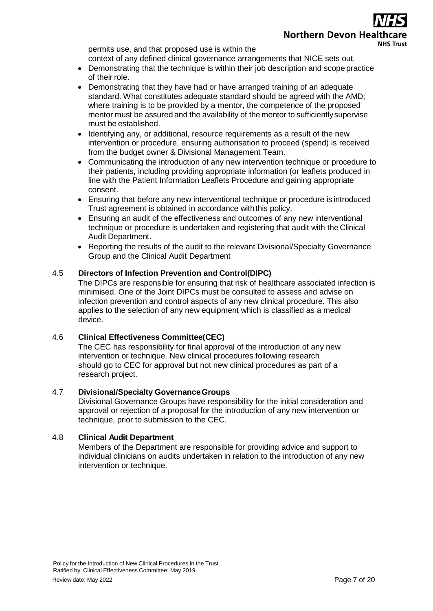# Northern Devon Healt **NHS Trust**

permits use, and that proposed use is within the context of any defined clinical governance arrangements that NICE sets out.

- Demonstrating that the technique is within their job description and scope practice of their role.
- Demonstrating that they have had or have arranged training of an adequate standard. What constitutes adequate standard should be agreed with the AMD; where training is to be provided by a mentor, the competence of the proposed mentor must be assured and the availability of the mentor to sufficientlysupervise must be established.
- Identifying any, or additional, resource requirements as a result of the new intervention or procedure, ensuring authorisation to proceed (spend) is received from the budget owner & Divisional Management Team.
- Communicating the introduction of any new intervention technique or procedure to their patients, including providing appropriate information (or leaflets produced in line with the Patient Information Leaflets Procedure and gaining appropriate consent.
- Ensuring that before any new interventional technique or procedure is introduced Trust agreement is obtained in accordance withthis policy.
- Ensuring an audit of the effectiveness and outcomes of any new interventional technique or procedure is undertaken and registering that audit with the Clinical Audit Department.
- Reporting the results of the audit to the relevant Divisional/Specialty Governance Group and the Clinical Audit Department

## 4.5 **Directors of Infection Prevention and Control(DIPC)**

The DIPCs are responsible for ensuring that risk of healthcare associated infection is minimised. One of the Joint DIPCs must be consulted to assess and advise on infection prevention and control aspects of any new clinical procedure. This also applies to the selection of any new equipment which is classified as a medical device.

## 4.6 **Clinical Effectiveness Committee(CEC)**

The CEC has responsibility for final approval of the introduction of any new intervention or technique. New clinical procedures following research should go to CEC for approval but not new clinical procedures as part of a research project.

## 4.7 **Divisional/Specialty GovernanceGroups**

Divisional Governance Groups have responsibility for the initial consideration and approval or rejection of a proposal for the introduction of any new intervention or technique, prior to submission to the CEC.

## 4.8 **Clinical Audit Department**

Members of the Department are responsible for providing advice and support to individual clinicians on audits undertaken in relation to the introduction of any new intervention or technique.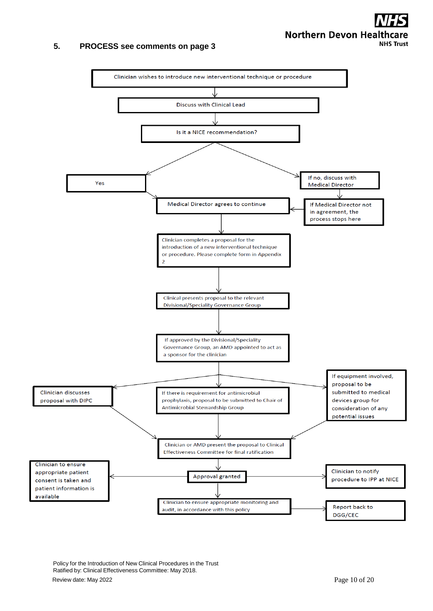# **Northern Devon Healthcare NHS Trust**

## <span id="page-7-0"></span>**5. PROCESS see comments on page 3**



Policy for the Introduction of New Clinical Procedures in the Trust Ratified by: Clinical Effectiveness Committee: May 2018. Review date: May 2022 **Page 10 of 20**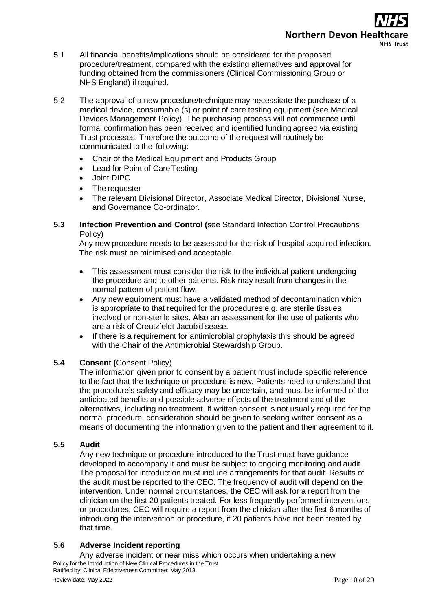# **Northern Devon Healt NHS Trust**

- 5.1 All financial benefits/implications should be considered for the proposed procedure/treatment, compared with the existing alternatives and approval for funding obtained from the commissioners (Clinical Commissioning Group or NHS England) if required.
- 5.2 The approval of a new procedure/technique may necessitate the purchase of a medical device, consumable (s) or point of care testing equipment (see [Medical](https://hub.exe.nhs.uk/_resources/assets/attachment/full/0/4097.pdf) [Devices Management Policy\)](https://hub.exe.nhs.uk/_resources/assets/attachment/full/0/4097.pdf). The purchasing process will not commence until formal confirmation has been received and identified funding agreed via existing Trust processes. Therefore the outcome of the request will routinely be communicated to the following:
	- Chair of the Medical Equipment and Products Group
	- Lead for Point of Care Testing
	- Joint DIPC
	- The requester
	- The relevant Divisional Director, Associate Medical Director, Divisional Nurse, and Governance Co-ordinator.
- **5.3 Infection Prevention and Control (**see Standard Infection Control Precautions Policy)

Any new procedure needs to be assessed for the risk of hospital acquired infection. The risk must be minimised and acceptable.

- This assessment must consider the risk to the individual patient undergoing the procedure and to other patients. Risk may result from changes in the normal pattern of patient flow.
- Any new equipment must have a validated method of decontamination which is appropriate to that required for the procedures e.g. are sterile tissues involved or non-sterile sites. Also an assessment for the use of patients who are a risk of Creutzfeldt Jacobdisease.
- If there is a requirement for antimicrobial prophylaxis this should be agreed with the Chair of the Antimicrobial Stewardship Group.

## **5.4 Consent (**Consent Policy)

The information given prior to consent by a patient must include specific reference to the fact that the technique or procedure is new. Patients need to understand that the procedure's safety and efficacy may be uncertain, and must be informed of the anticipated benefits and possible adverse effects of the treatment and of the alternatives, including no treatment. If written consent is not usually required for the normal procedure, consideration should be given to seeking written consent as a means of documenting the information given to the patient and their agreement to it.

## **5.5 Audit**

Any new technique or procedure introduced to the Trust must have guidance developed to accompany it and must be subject to ongoing monitoring and audit. The proposal for introduction must include arrangements for that audit. Results of the audit must be reported to the CEC. The frequency of audit will depend on the intervention. Under normal circumstances, the CEC will ask for a report from the clinician on the first 20 patients treated. For less frequently performed interventions or procedures, CEC will require a report from the clinician after the first 6 months of introducing the intervention or procedure, if 20 patients have not been treated by that time.

## **5.6 Adverse Incident reporting**

Policy for the Introduction of New Clinical Procedures in the Trust Ratified by: Clinical Effectiveness Committee: May 2018. Any adverse incident or near miss which occurs when undertaking a new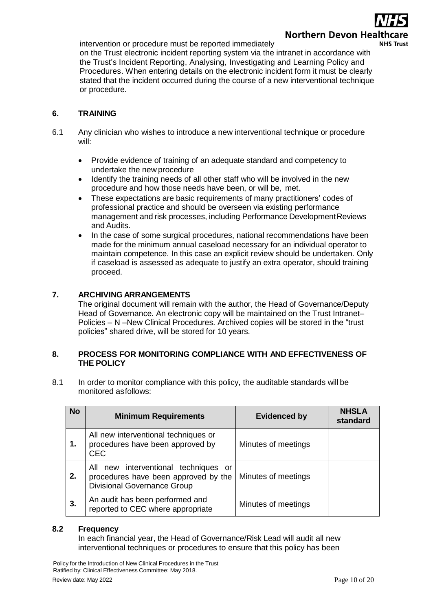intervention or procedure must be reported immediately



on the Trust electronic incident reporting system via the intranet in accordance with the Trust's Incident Reporting, Analysing, Investigating and Learning Policy and Procedure[s.](https://hub.exe.nhs.uk/_resources/assets/attachment/full/0/3752.pdf) When entering details on the electronic incident form it must be clearly stated that the incident occurred during the course of a new interventional technique or procedure.

## <span id="page-9-0"></span>**6. TRAINING**

- 6.1 Any clinician who wishes to introduce a new interventional technique or procedure will:
	- Provide evidence of training of an adequate standard and competency to undertake the new procedure
	- Identify the training needs of all other staff who will be involved in the new procedure and how those needs have been, or will be, met.
	- These expectations are basic requirements of many practitioners' codes of professional practice and should be overseen via existing performance management and risk processes, including Performance Development Reviews and Audits.
	- In the case of some surgical procedures, national recommendations have been made for the minimum annual caseload necessary for an individual operator to maintain competence. In this case an explicit review should be undertaken. Only if caseload is assessed as adequate to justify an extra operator, should training proceed.

## <span id="page-9-1"></span>**7. ARCHIVING ARRANGEMENTS**

The original document will remain with the author, the Head of Governance/Deputy Head of Governance. An electronic copy will be maintained on the Trust Intranet– Policies – N –New Clinical Procedures. Archived copies will be stored in the "trust policies" shared drive, will be stored for 10 years.

### <span id="page-9-2"></span>**8. PROCESS FOR MONITORING COMPLIANCE WITH AND EFFECTIVENESS OF THE POLICY**

8.1 In order to monitor compliance with this policy, the auditable standards will be monitored asfollows:

| <b>No</b> | <b>Minimum Requirements</b>                                                                                        | <b>Evidenced by</b> | <b>NHSLA</b><br>standard |
|-----------|--------------------------------------------------------------------------------------------------------------------|---------------------|--------------------------|
| 1.        | All new interventional techniques or<br>procedures have been approved by<br>CEC                                    | Minutes of meetings |                          |
| 2.        | All new interventional techniques or<br>procedures have been approved by the<br><b>Divisional Governance Group</b> | Minutes of meetings |                          |
| 3.        | An audit has been performed and<br>reported to CEC where appropriate                                               | Minutes of meetings |                          |

## **8.2 Frequency**

In each financial year, the Head of Governance/Risk Lead will audit all new interventional techniques or procedures to ensure that this policy has been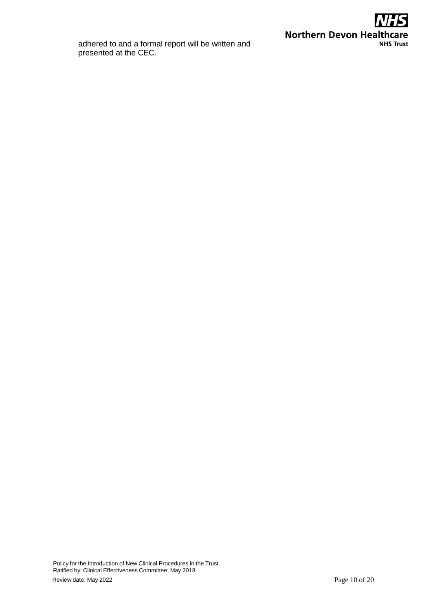

adhered to and a formal report will be written and presented at the CEC.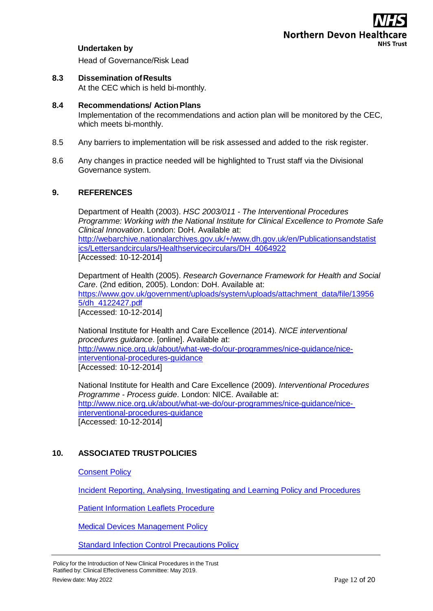

### **Undertaken by**

Head of Governance/Risk Lead

**8.3 Dissemination ofResults** At the CEC which is held bi-monthly.

### **8.4 Recommendations/ ActionPlans**

Implementation of the recommendations and action plan will be monitored by the CEC, which meets bi-monthly.

- 8.5 Any barriers to implementation will be risk assessed and added to the risk register.
- 8.6 Any changes in practice needed will be highlighted to Trust staff via the Divisional Governance system.

### <span id="page-11-0"></span>**9. REFERENCES**

Department of Health (2003). *HSC 2003/011 - The Interventional Procedures Programme: Working with the National Institute for Clinical Excellence to Promote Safe Clinical Innovation*. London: DoH. Available at: [http://webarchive.nationalarchives.gov.uk/+/www.dh.gov.uk/en/Publicationsandstatist](http://webarchive.nationalarchives.gov.uk/%2B/www.dh.gov.uk/en/Publicationsandstatistics/Lettersandcirculars/Healthservicecirculars/DH_4064922) [ics/Lettersandcirculars/Healthservicecirculars/DH\\_4064922](http://webarchive.nationalarchives.gov.uk/%2B/www.dh.gov.uk/en/Publicationsandstatistics/Lettersandcirculars/Healthservicecirculars/DH_4064922) [Accessed: 10-12-2014]

Department of Health (2005). *Research Governance Framework for Health and Social Care*. (2nd edition, 2005). London: DoH. Available at: [https://www.gov.uk/government/uploads/system/uploads/attachment\\_data/file/13956](https://www.gov.uk/government/uploads/system/uploads/attachment_data/file/139565/dh_4122427.pdf) [5/dh\\_4122427.pdf](https://www.gov.uk/government/uploads/system/uploads/attachment_data/file/139565/dh_4122427.pdf) [Accessed: 10-12-2014]

National Institute for Health and Care Excellence (2014). *NICE interventional procedures guidance*. [online]. Available at: [http://www.nice.org.uk/about/what-we-do/our-programmes/nice-guidance/nice](http://www.nice.org.uk/about/what-we-do/our-programmes/nice-guidance/nice-interventional-procedures-guidance)[interventional-procedures-guidance](http://www.nice.org.uk/about/what-we-do/our-programmes/nice-guidance/nice-interventional-procedures-guidance) [Accessed: 10-12-2014]

National Institute for Health and Care Excellence (2009). *Interventional Procedures Programme - Process guide*. London: NICE. Available at: [http://www.nice.org.uk/about/what-we-do/our-programmes/nice-guidance/nice](http://www.nice.org.uk/about/what-we-do/our-programmes/nice-guidance/nice-interventional-procedures-guidance)[interventional-procedures-guidance](http://www.nice.org.uk/about/what-we-do/our-programmes/nice-guidance/nice-interventional-procedures-guidance) [Accessed: 10-12-2014]

## <span id="page-11-1"></span>**10. ASSOCIATED TRUSTPOLICIES**

### [Consent](https://www.northdevonhealth.nhs.uk/2012/04/consent-policy/) Policy

Incident Reporting, Analysing, [Investigating and](https://www.northdevonhealth.nhs.uk/2017/11/incident-reporting-management-policy/) Learning Policy and Procedures

[Patient Information Leaflets Procedure](http://ndht.ndevon.swest.nhs.uk/procedure-for-producing-patient-information-leaflets/)

Medical [Devices Management Policy](http://ndht.ndevon.swest.nhs.uk/management-of-medical-devices/)

[Standard Infection Control Precautions Policy](https://www.northdevonhealth.nhs.uk/2014/08/standard-infection-control-precautions-policy/)

Policy for the Introduction of New Clinical Procedures in the Trust Ratified by: Clinical Effectiveness Committee: May 2019. Review date: May 2022 **Page 12 of 20**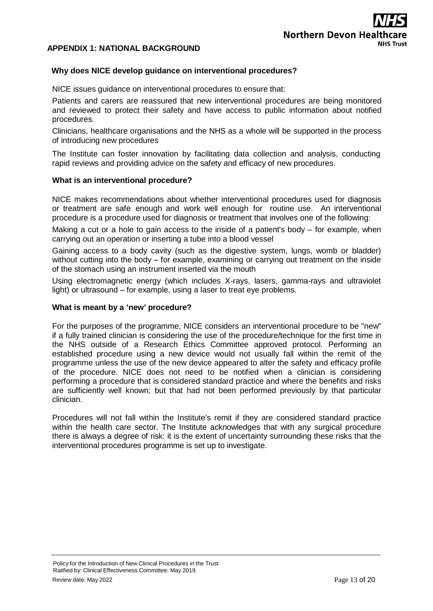## <span id="page-12-0"></span>**APPENDIX 1: NATIONAL BACKGROUND**

### **Why does NICE develop guidance on interventional procedures?**

NICE issues guidance on interventional procedures to ensure that:

Patients and carers are reassured that new interventional procedures are being monitored and reviewed to protect their safety and have access to public information about notified procedures.

Clinicians, healthcare organisations and the NHS as a whole will be supported in the process of introducing new procedures

The Institute can foster innovation by facilitating data collection and analysis, conducting rapid reviews and providing advice on the safety and efficacy of new procedures.

### **What is an interventional procedure?**

NICE makes recommendations about whether interventional procedures used for diagnosis or treatment are safe enough and work well enough for routine use. An interventional procedure is a procedure used for diagnosis or treatment that involves one of the following:

Making a cut or a hole to gain access to the inside of a patient's body – for example, when carrying out an operation or inserting a tube into a blood vessel

Gaining access to a body cavity (such as the digestive system, lungs, womb or bladder) without cutting into the body – for example, examining or carrying out treatment on the inside of the stomach using an instrument inserted via the mouth

Using electromagnetic energy (which includes X-rays, lasers, gamma-rays and ultraviolet light) or ultrasound – for example, using a laser to treat eye problems.

#### **What is meant by a 'new' procedure?**

For the purposes of the programme, NICE considers an interventional procedure to be "new" if a fully trained clinician is considering the use of the procedure/technique for the first time in the NHS outside of a Research Ethics Committee approved protocol. Performing an established procedure using a new device would not usually fall within the remit of the programme unless the use of the new device appeared to alter the safety and efficacy profile of the procedure. NICE does not need to be notified when a clinician is considering performing a procedure that is considered standard practice and where the benefits and risks are sufficiently well known; but that had not been performed previously by that particular clinician.

Procedures will not fall within the Institute's remit if they are considered standard practice within the health care sector. The Institute acknowledges that with any surgical procedure there is always a degree of risk: it is the extent of uncertainty surrounding these risks that the interventional procedures programme is set up to investigate.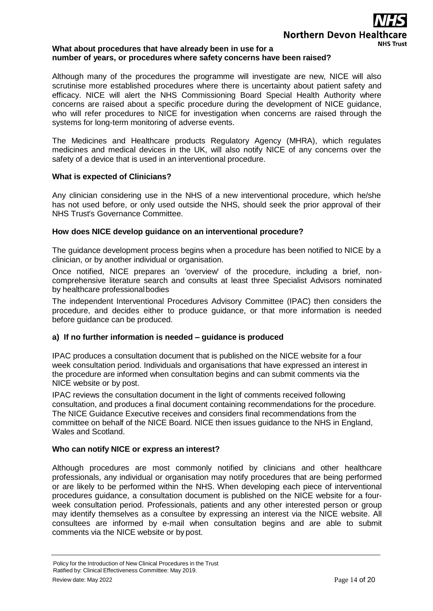# Northern Devon Healt **NHS Trust**

### **What about procedures that have already been in use for a number of years, or procedures where safety concerns have been raised?**

Although many of the procedures the programme will investigate are new, NICE will also scrutinise more established procedures where there is uncertainty about patient safety and efficacy. NICE will alert the NHS Commissioning Board Special Health Authority where concerns are raised about a specific procedure during the development of NICE guidance, who will refer procedures to NICE for investigation when concerns are raised through the systems for long-term monitoring of adverse events.

The Medicines and Healthcare products Regulatory Agency (MHRA), which regulates medicines and medical devices in the UK, will also notify NICE of any concerns over the safety of a device that is used in an interventional procedure.

## **What is expected of Clinicians?**

Any clinician considering use in the NHS of a new interventional procedure, which he/she has not used before, or only used outside the NHS, should seek the prior approval of their NHS Trust's Governance Committee.

## **How does NICE develop guidance on an interventional procedure?**

The guidance development process begins when a procedure has been notified to NICE by a clinician, or by another individual or organisation.

Once notified, NICE prepares an 'overview' of the procedure, including a brief, noncomprehensive literature search and consults at least three Specialist Advisors nominated by healthcare professionalbodies

The independent Interventional Procedures Advisory Committee (IPAC) then considers the procedure, and decides either to produce guidance, or that more information is needed before guidance can be produced.

## **a) If no further information is needed – guidance is produced**

IPAC produces a consultation document that is published on the NICE website for a four week consultation period. Individuals and organisations that have expressed an interest in the procedure are informed when consultation begins and can submit comments via the NICE website or by post.

IPAC reviews the consultation document in the light of comments received following consultation, and produces a final document containing recommendations for the procedure. The NICE Guidance Executive receives and considers final recommendations from the committee on behalf of the NICE Board. NICE then issues guidance to the NHS in England, Wales and Scotland.

## **Who can notify NICE or express an interest?**

Although procedures are most commonly notified by clinicians and other healthcare professionals, any individual or organisation may notify procedures that are being performed or are likely to be performed within the NHS. When developing each piece of interventional procedures guidance, a consultation document is published on the NICE website for a fourweek consultation period. Professionals, patients and any other interested person or group may identify themselves as a consultee by expressing an interest via the NICE website. All consultees are informed by e-mail when consultation begins and are able to submit comments via the NICE website or by post.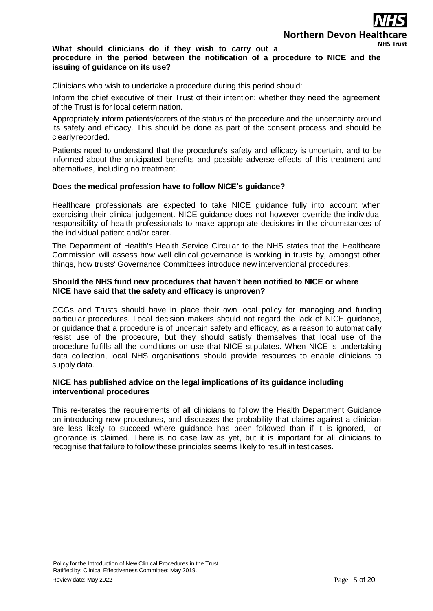## **What should clinicians do if they wish to carry out a**

## **procedure in the period between the notification of a procedure to NICE and the issuing of guidance on its use?**

Clinicians who wish to undertake a procedure during this period should:

Inform the chief executive of their Trust of their intention; whether they need the agreement of the Trust is for local determination.

Appropriately inform patients/carers of the status of the procedure and the uncertainty around its safety and efficacy. This should be done as part of the consent process and should be clearlyrecorded.

Patients need to understand that the procedure's safety and efficacy is uncertain, and to be informed about the anticipated benefits and possible adverse effects of this treatment and alternatives, including no treatment.

### **Does the medical profession have to follow NICE's guidance?**

Healthcare professionals are expected to take NICE guidance fully into account when exercising their clinical judgement. NICE guidance does not however override the individual responsibility of health professionals to make appropriate decisions in the circumstances of the individual patient and/or carer.

The Department of Health's Health Service Circular to the NHS states that the Healthcare Commission will assess how well clinical governance is working in trusts by, amongst other things, how trusts' Governance Committees introduce new interventional procedures.

### **Should the NHS fund new procedures that haven't been notified to NICE or where NICE have said that the safety and efficacy is unproven?**

CCGs and Trusts should have in place their own local policy for managing and funding particular procedures. Local decision makers should not regard the lack of NICE guidance, or guidance that a procedure is of uncertain safety and efficacy, as a reason to automatically resist use of the procedure, but they should satisfy themselves that local use of the procedure fulfills all the conditions on use that NICE stipulates. When NICE is undertaking data collection, local NHS organisations should provide resources to enable clinicians to supply data.

### **NICE has published advice on the legal implications of its guidance including interventional procedures**

This re-iterates the requirements of all clinicians to follow the Health Department Guidance on introducing new procedures, and discusses the probability that claims against a clinician are less likely to succeed where guidance has been followed than if it is ignored, or ignorance is claimed. There is no case law as yet, but it is important for all clinicians to recognise that failure to follow these principles seems likely to result in test cases.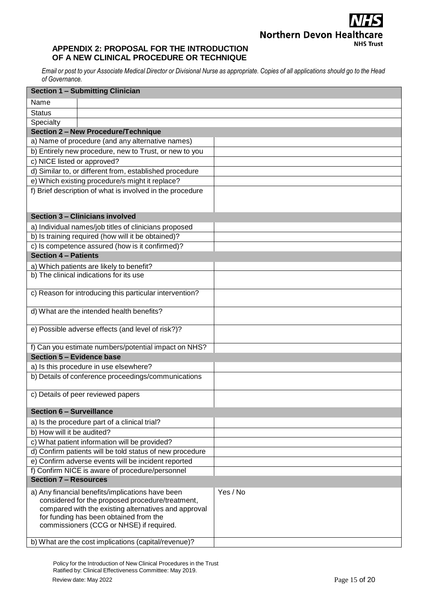## **Northern Devon Healthcare NHS Trust**

## <span id="page-15-0"></span>**APPENDIX 2: PROPOSAL FOR THE INTRODUCTION OF A NEW CLINICAL PROCEDURE OR TECHNIQUE**

Email or post to your Associate Medical Director or Divisional Nurse as appropriate. Copies of all applications should go to the Head *of Governance.*

| <b>Section 1 - Submitting Clinician</b>                                                                                                                                                                                                            |          |
|----------------------------------------------------------------------------------------------------------------------------------------------------------------------------------------------------------------------------------------------------|----------|
| Name                                                                                                                                                                                                                                               |          |
| <b>Status</b>                                                                                                                                                                                                                                      |          |
| Specialty                                                                                                                                                                                                                                          |          |
| <b>Section 2 - New Procedure/Technique</b>                                                                                                                                                                                                         |          |
| a) Name of procedure (and any alternative names)                                                                                                                                                                                                   |          |
| b) Entirely new procedure, new to Trust, or new to you                                                                                                                                                                                             |          |
| c) NICE listed or approved?                                                                                                                                                                                                                        |          |
| d) Similar to, or different from, established procedure                                                                                                                                                                                            |          |
| e) Which existing procedure/s might it replace?                                                                                                                                                                                                    |          |
| f) Brief description of what is involved in the procedure                                                                                                                                                                                          |          |
| Section 3 - Clinicians involved                                                                                                                                                                                                                    |          |
| a) Individual names/job titles of clinicians proposed                                                                                                                                                                                              |          |
| b) Is training required (how will it be obtained)?                                                                                                                                                                                                 |          |
| c) Is competence assured (how is it confirmed)?                                                                                                                                                                                                    |          |
| <b>Section 4 - Patients</b>                                                                                                                                                                                                                        |          |
| a) Which patients are likely to benefit?                                                                                                                                                                                                           |          |
| b) The clinical indications for its use                                                                                                                                                                                                            |          |
| c) Reason for introducing this particular intervention?                                                                                                                                                                                            |          |
| d) What are the intended health benefits?                                                                                                                                                                                                          |          |
| e) Possible adverse effects (and level of risk?)?                                                                                                                                                                                                  |          |
| f) Can you estimate numbers/potential impact on NHS?                                                                                                                                                                                               |          |
| Section 5 - Evidence base                                                                                                                                                                                                                          |          |
| a) Is this procedure in use elsewhere?                                                                                                                                                                                                             |          |
| b) Details of conference proceedings/communications                                                                                                                                                                                                |          |
| c) Details of peer reviewed papers                                                                                                                                                                                                                 |          |
| <b>Section 6 - Surveillance</b>                                                                                                                                                                                                                    |          |
| a) Is the procedure part of a clinical trial?                                                                                                                                                                                                      |          |
| b) How will it be audited?                                                                                                                                                                                                                         |          |
| c) What patient information will be provided?                                                                                                                                                                                                      |          |
| d) Confirm patients will be told status of new procedure                                                                                                                                                                                           |          |
| e) Confirm adverse events will be incident reported                                                                                                                                                                                                |          |
| f) Confirm NICE is aware of procedure/personnel                                                                                                                                                                                                    |          |
| <b>Section 7 - Resources</b>                                                                                                                                                                                                                       |          |
| a) Any financial benefits/implications have been<br>considered for the proposed procedure/treatment,<br>compared with the existing alternatives and approval<br>for funding has been obtained from the<br>commissioners (CCG or NHSE) if required. | Yes / No |
| b) What are the cost implications (capital/revenue)?                                                                                                                                                                                               |          |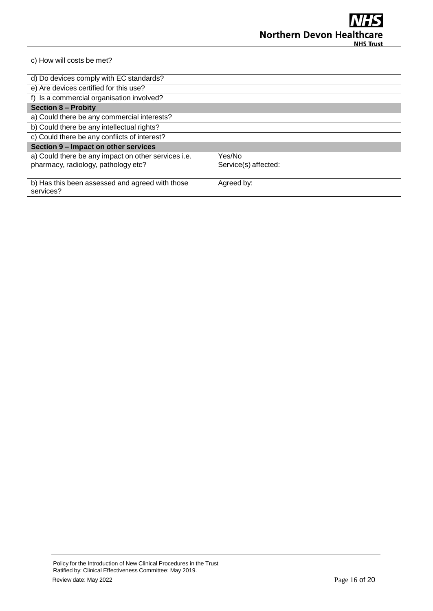

| c) How will costs be met?                           |                      |
|-----------------------------------------------------|----------------------|
|                                                     |                      |
| d) Do devices comply with EC standards?             |                      |
| e) Are devices certified for this use?              |                      |
| f) Is a commercial organisation involved?           |                      |
| <b>Section 8 - Probity</b>                          |                      |
| a) Could there be any commercial interests?         |                      |
| b) Could there be any intellectual rights?          |                      |
| c) Could there be any conflicts of interest?        |                      |
| Section 9 - Impact on other services                |                      |
| a) Could there be any impact on other services i.e. | Yes/No               |
| pharmacy, radiology, pathology etc?                 | Service(s) affected: |
|                                                     |                      |
| b) Has this been assessed and agreed with those     | Agreed by:           |
| services?                                           |                      |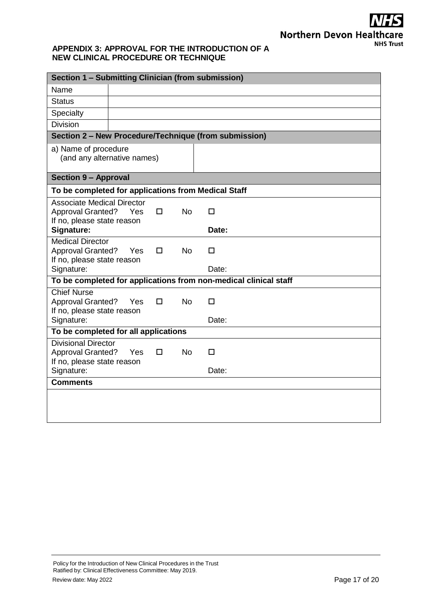## <span id="page-17-0"></span>**APPENDIX 3: APPROVAL FOR THE INTRODUCTION OF A NEW CLINICAL PROCEDURE OR TECHNIQUE**

| Section 1 - Submitting Clinician (from submission)                                          |     |   |           |                                                       |
|---------------------------------------------------------------------------------------------|-----|---|-----------|-------------------------------------------------------|
| Name                                                                                        |     |   |           |                                                       |
| <b>Status</b>                                                                               |     |   |           |                                                       |
| Specialty                                                                                   |     |   |           |                                                       |
| <b>Division</b>                                                                             |     |   |           |                                                       |
|                                                                                             |     |   |           | Section 2 - New Procedure/Technique (from submission) |
| a) Name of procedure<br>(and any alternative names)                                         |     |   |           |                                                       |
| <b>Section 9 - Approval</b>                                                                 |     |   |           |                                                       |
| To be completed for applications from Medical Staff                                         |     |   |           |                                                       |
| <b>Associate Medical Director</b><br><b>Approval Granted?</b><br>If no, please state reason | Yes | 0 | <b>No</b> | $\Box$                                                |
| Signature:                                                                                  |     |   |           | Date:                                                 |
| <b>Medical Director</b><br><b>Approval Granted?</b><br>If no, please state reason           | Yes | П | <b>No</b> | п                                                     |
| Signature:                                                                                  |     |   |           | Date:                                                 |
| To be completed for applications from non-medical clinical staff                            |     |   |           |                                                       |
| <b>Chief Nurse</b><br><b>Approval Granted?</b><br>If no, please state reason                | Yes | 0 | No.       | □                                                     |
| Signature:                                                                                  |     |   |           | Date:                                                 |
| To be completed for all applications                                                        |     |   |           |                                                       |
| <b>Divisional Director</b><br><b>Approval Granted?</b>                                      | Yes | 0 | <b>No</b> | □                                                     |
| If no, please state reason<br>Signature:                                                    |     |   |           | Date:                                                 |
| <b>Comments</b>                                                                             |     |   |           |                                                       |
|                                                                                             |     |   |           |                                                       |
|                                                                                             |     |   |           |                                                       |
|                                                                                             |     |   |           |                                                       |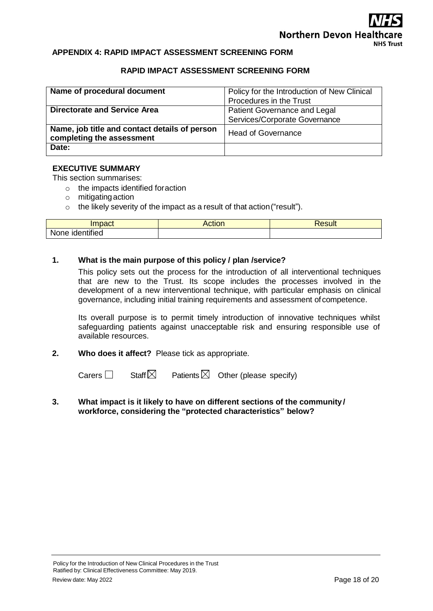## **Northern Devon Heal NHS Trust**

### <span id="page-18-0"></span>**APPENDIX 4: RAPID IMPACT ASSESSMENT SCREENING FORM**

### **RAPID IMPACT ASSESSMENT SCREENING FORM**

| Name of procedural document                   | Policy for the Introduction of New Clinical |  |
|-----------------------------------------------|---------------------------------------------|--|
|                                               | Procedures in the Trust                     |  |
| <b>Directorate and Service Area</b>           | <b>Patient Governance and Legal</b>         |  |
|                                               | Services/Corporate Governance               |  |
| Name, job title and contact details of person | <b>Head of Governance</b>                   |  |
| completing the assessment                     |                                             |  |
| Date:                                         |                                             |  |

### **EXECUTIVE SUMMARY**

This section summarises:

o the impacts identified foraction

- o mitigatingaction
- o the likely severity of the impact as a result of that action("result").

| mnoot                               | $\sim$ $\sim$ $\sim$<br>ACHON | esult? |
|-------------------------------------|-------------------------------|--------|
| .<br><b>None</b><br>entified<br>. . |                               |        |

### **1. What is the main purpose of this policy / plan /service?**

This policy sets out the process for the introduction of all interventional techniques that are new to the Trust. Its scope includes the processes involved in the development of a new interventional technique, with particular emphasis on clinical governance, including initial training requirements and assessment of competence.

Its overall purpose is to permit timely introduction of innovative techniques whilst safeguarding patients against unacceptable risk and ensuring responsible use of available resources.

**2. Who does it affect?** Please tick as appropriate.

Carers  $\Box$  Staff  $\boxtimes$  Patients  $\boxtimes$  Other (please specify)

**3. What impact is it likely to have on different sections of the community / workforce, considering the "protected characteristics" below?**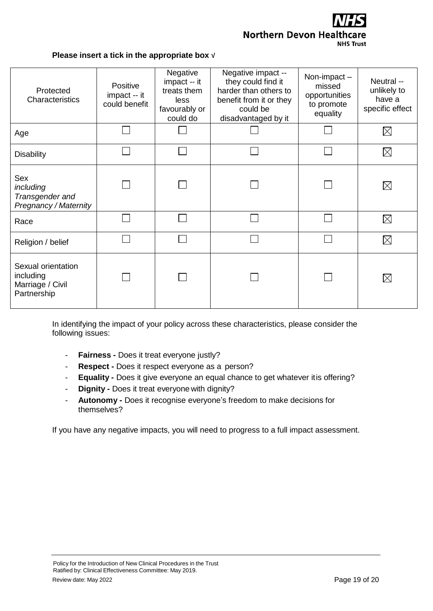**Northern Devon Healthcare NHS Trust** 

### **Please insert a tick in the appropriate box** √

| Protected<br><b>Characteristics</b>                                 | Positive<br>impact -- it<br>could benefit | Negative<br>impact -- it<br>treats them<br>less<br>favourably or<br>could do | Negative impact --<br>they could find it<br>harder than others to<br>benefit from it or they<br>could be<br>disadvantaged by it | Non-impact-<br>missed<br>opportunities<br>to promote<br>equality | Neutral --<br>unlikely to<br>have a<br>specific effect |
|---------------------------------------------------------------------|-------------------------------------------|------------------------------------------------------------------------------|---------------------------------------------------------------------------------------------------------------------------------|------------------------------------------------------------------|--------------------------------------------------------|
| Age                                                                 |                                           |                                                                              |                                                                                                                                 |                                                                  | $\times$                                               |
| <b>Disability</b>                                                   |                                           |                                                                              |                                                                                                                                 |                                                                  | $\times$                                               |
| Sex<br>including<br>Transgender and<br><b>Pregnancy / Maternity</b> |                                           |                                                                              |                                                                                                                                 |                                                                  | $\times$                                               |
| Race                                                                |                                           |                                                                              |                                                                                                                                 |                                                                  | $\times$                                               |
| Religion / belief                                                   |                                           |                                                                              |                                                                                                                                 |                                                                  | $\times$                                               |
| Sexual orientation<br>including<br>Marriage / Civil<br>Partnership  |                                           |                                                                              |                                                                                                                                 |                                                                  | $\times$                                               |

In identifying the impact of your policy across these characteristics, please consider the following issues:

- **Fairness -** Does it treat everyone justly?
- **Respect -** Does it respect everyone as a person?
- **Equality -** Does it give everyone an equal chance to get whatever itis offering?
- **Dignity -** Does it treat everyone with dignity?
- **Autonomy -** Does it recognise everyone's freedom to make decisions for themselves?

If you have any negative impacts, you will need to progress to a full impact assessment.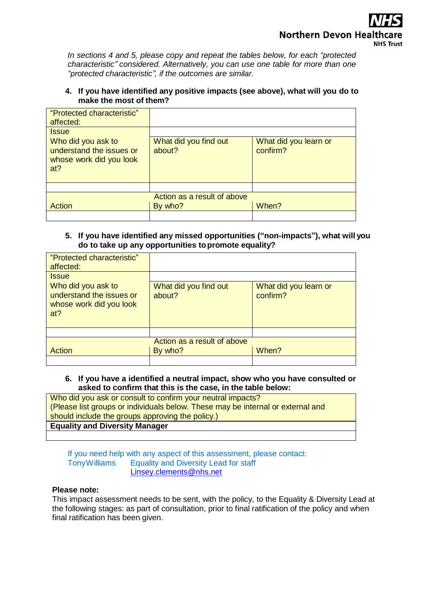*In sections 4 and 5, please copy and repeat the tables below, for each "protected characteristic" considered. Alternatively, you can use one table for more than one "protected characteristic", if the outcomes are similar.*

## **4. If you have identified any positive impacts (see above), what will you do to make the most of them?**

| "Protected characteristic"<br>affected:                                          |                                 |                                   |
|----------------------------------------------------------------------------------|---------------------------------|-----------------------------------|
| <b>Issue</b>                                                                     |                                 |                                   |
| Who did you ask to<br>understand the issues or<br>whose work did you look<br>at? | What did you find out<br>about? | What did you learn or<br>confirm? |
|                                                                                  |                                 |                                   |
| Action as a result of above                                                      |                                 |                                   |
| Action                                                                           | By who?                         | When?                             |
|                                                                                  |                                 |                                   |

## **5. If you have identified any missed opportunities ("non-impacts"), what will you do to take up any opportunities topromote equality?**

| "Protected characteristic"<br>affected:                                          |                                 |                                   |
|----------------------------------------------------------------------------------|---------------------------------|-----------------------------------|
| <b>Issue</b>                                                                     |                                 |                                   |
| Who did you ask to<br>understand the issues or<br>whose work did you look<br>at? | What did you find out<br>about? | What did you learn or<br>confirm? |
|                                                                                  |                                 |                                   |
| Action as a result of above                                                      |                                 |                                   |
| Action                                                                           | By who?                         | When?                             |
|                                                                                  |                                 |                                   |

## **6. If you have a identified a neutral impact, show who you have consulted or asked to confirm that this is the case, in the table below:**

Who did you ask or consult to confirm your neutral impacts? (Please list groups or individuals below. These may be internal or external and should include the groups approving the policy.) **Equality and Diversity Manager**

If you need help with any aspect of this assessment, please contact: TonyWilliams Equality and Diversity Lead for staff [Linsey.clements@nhs.net](mailto:Linsey.clements@nhs.net)

## **Please note:**

This impact assessment needs to be sent, with the policy, to the Equality & Diversity Lead at the following stages: as part of consultation, prior to final ratification of the policy and when final ratification has been given.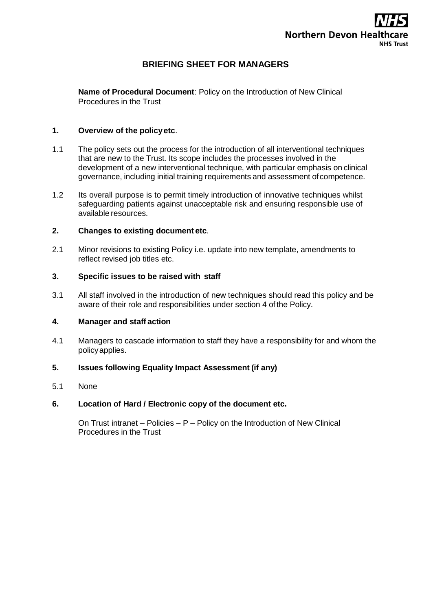

## **BRIEFING SHEET FOR MANAGERS**

**Name of Procedural Document**: Policy on the Introduction of New Clinical Procedures in the Trust

### **1. Overview of the policyetc**.

- 1.1 The policy sets out the process for the introduction of all interventional techniques that are new to the Trust. Its scope includes the processes involved in the development of a new interventional technique, with particular emphasis on clinical governance, including initial training requirements and assessment ofcompetence.
- 1.2 Its overall purpose is to permit timely introduction of innovative techniques whilst safeguarding patients against unacceptable risk and ensuring responsible use of available resources.

### **2. Changes to existing document etc**.

2.1 Minor revisions to existing Policy i.e. update into new template, amendments to reflect revised job titles etc.

### **3. Specific issues to be raised with staff**

3.1 All staff involved in the introduction of new techniques should read this policy and be aware of their role and responsibilities under section 4 of the Policy.

### **4. Manager and staff action**

4.1 Managers to cascade information to staff they have a responsibility for and whom the policyapplies.

## **5. Issues following Equality Impact Assessment (if any)**

5.1 None

### **6. Location of Hard / Electronic copy of the document etc.**

On Trust intranet – Policies – P – Policy on the Introduction of New Clinical Procedures in the Trust